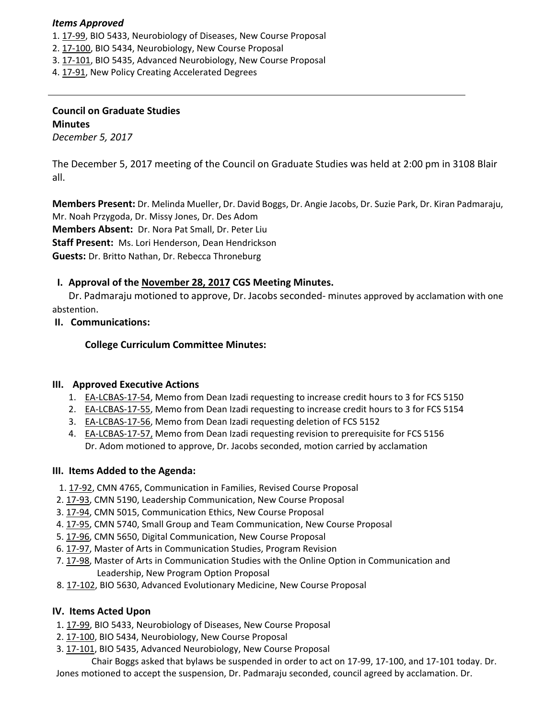### *Items Approved*

- 1. 17‐[99,](http://castle.eiu.edu/eiucgs/currentagendaitems/agenda17-99.pdf) BIO 5433, Neurobiology of Diseases, New Course Proposal
- 2. 17‐[100,](http://castle.eiu.edu/eiucgs/currentagendaitems/agenda17-100.pdf) BIO 5434, Neurobiology, New Course Proposal
- 3. 17‐[101](http://castle.eiu.edu/eiucgs/currentagendaitems/agenda17-101.pdf), BIO 5435, Advanced Neurobiology, New Course Proposal
- 4. 17‐[91,](http://castle.eiu.edu/eiucgs/currentagendaitems/agenda17-91.pdf) New Policy Creating Accelerated Degrees

## **Council on Graduate Studies Minutes**

*December 5, 2017*

The December 5, 2017 meeting of the Council on Graduate Studies was held at 2:00 pm in 3108 Blair all.

**Members Present:** Dr. Melinda Mueller, Dr. David Boggs, Dr. Angie Jacobs, Dr. Suzie Park, Dr. Kiran Padmaraju, Mr. Noah Przygoda, Dr. Missy Jones, Dr. Des Adom **Members Absent:** Dr. Nora Pat Small, Dr. Peter Liu **Staff Present:** Ms. Lori Henderson, Dean Hendrickson **Guests:** Dr. Britto Nathan, Dr. Rebecca Throneburg

## **I. Approval of the [November](http://castle.eiu.edu/eiucgs/currentminutes/Minutes11-28-17.pdf) 28, 2017 CGS Meeting Minutes.**

Dr. Padmaraju motioned to approve, Dr. Jacobs seconded‐ minutes approved by acclamation with one abstention.

## **II. Communications:**

**College Curriculum Committee Minutes:**

## **III. Approved Executive Actions**

- 1. EA‐[LCBAS](http://castle.eiu.edu/eiucgs/exec-actions/EA-LCBAS-17-54.pdf)‐17‐54, Memo from Dean Izadi requesting to increase credit hours to 3 for FCS 5150
- 2. EA-[LCBAS](http://castle.eiu.edu/eiucgs/exec-actions/EA-LCBAS-17-55.pdf)-17-55, Memo from Dean Izadi requesting to increase credit hours to 3 for FCS 5154
- 3. EA‐[LCBAS](http://castle.eiu.edu/eiucgs/exec-actions/EA-LCBAS-17-56.pdf)‐17‐56, Memo from Dean Izadi requesting deletion of FCS 5152
- 4. EA-[LCBAS](http://castle.eiu.edu/eiucgs/exec-actions/EA-LCBAS-17-57.pdf)-17-57, Memo from Dean Izadi requesting revision to prerequisite for FCS 5156 Dr. Adom motioned to approve, Dr. Jacobs seconded, motion carried by acclamation

## **III. Items Added to the Agenda:**

- 1. 17‐[92,](http://castle.eiu.edu/eiucgs/currentagendaitems/agenda17-92.pdf) CMN 4765, Communication in Families, Revised Course Proposal
- 2. 17‐[93,](http://castle.eiu.edu/eiucgs/currentagendaitems/agenda17-93.pdf) CMN 5190, Leadership Communication, New Course Proposal
- 3. 17‐[94,](http://castle.eiu.edu/eiucgs/currentagendaitems/agenda17-94.pdf) CMN 5015, Communication Ethics, New Course Proposal
- 4. 17-[95,](http://castle.eiu.edu/eiucgs/currentagendaitems/agenda17-95.pdf) CMN 5740, Small Group and Team Communication, New Course Proposal
- 5. 17‐[96,](http://castle.eiu.edu/eiucgs/currentagendaitems/agenda17-96.pdf) CMN 5650, Digital Communication, New Course Proposal
- 6. 17‐[97,](http://castle.eiu.edu/eiucgs/currentagendaitems/agenda17-97.pdf) Master of Arts in Communication Studies, Program Revision
- 7. 17‐[98,](http://castle.eiu.edu/eiucgs/currentagendaitems/agenda17-98.pdf) Master of Arts in Communication Studies with the Online Option in Communication and Leadership, New Program Option Proposal
- 8. 17-[102,](http://castle.eiu.edu/eiucgs/currentagendaitems/agenda17-102.pdf) BIO 5630, Advanced Evolutionary Medicine, New Course Proposal

## **IV. Items Acted Upon**

- 1. 17‐[99,](http://castle.eiu.edu/eiucgs/currentagendaitems/agenda17-99.pdf) BIO 5433, Neurobiology of Diseases, New Course Proposal
- 2. 17‐[100,](http://castle.eiu.edu/eiucgs/currentagendaitems/agenda17-100.pdf) BIO 5434, Neurobiology, New Course Proposal
- 3. 17-[101,](http://castle.eiu.edu/eiucgs/currentagendaitems/agenda17-101.pdf) BIO 5435, Advanced Neurobiology, New Course Proposal

Chair Boggs asked that bylaws be suspended in order to act on 17‐99, 17‐100, and 17‐101 today. Dr. Jones motioned to accept the suspension, Dr. Padmaraju seconded, council agreed by acclamation. Dr.